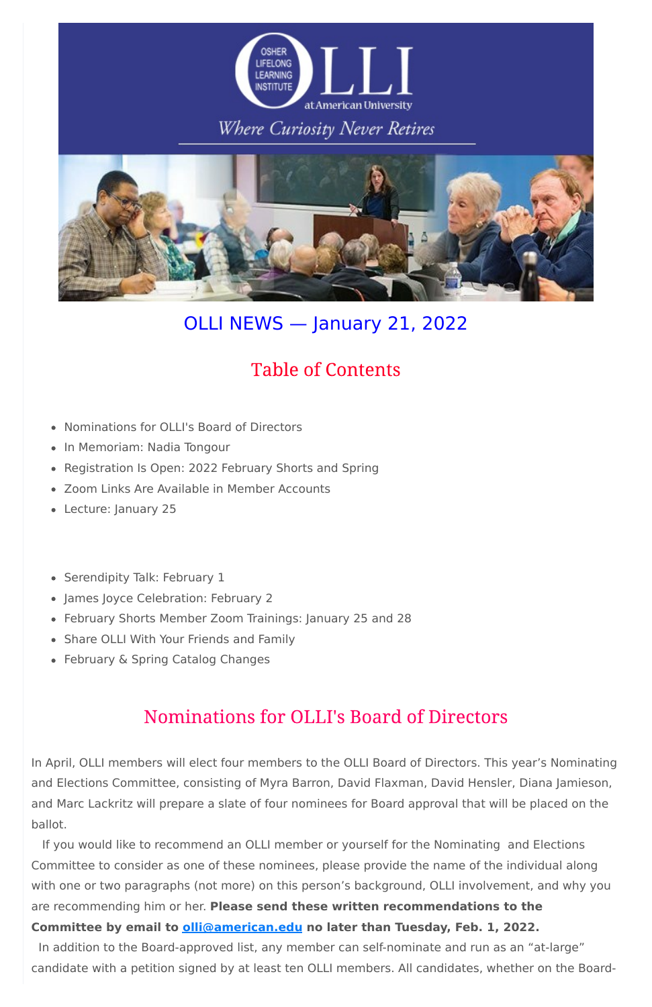

### Where Curiosity Never Retires



# OLLI NEWS — January 21, 2022

- Nominations for OLLI's Board of Directors
- In Memoriam: Nadia Tongour
- Registration Is Open: 2022 February Shorts and Spring
- Zoom Links Are Available in Member Accounts
- Lecture: January 25
- Serendipity Talk: February 1
- James Joyce Celebration: February 2
- February Shorts Member Zoom Trainings: January 25 and 28
- Share OLLI With Your Friends and Family
- February & Spring Catalog Changes

# **Table of Contents**

### Nominations for OLLI's Board of Directors

In April, OLLI members will elect four members to the OLLI Board of Directors. This year's Nominating and Elections Committee, consisting of Myra Barron, David Flaxman, David Hensler, Diana Jamieson, and Marc Lackritz will prepare a slate of four nominees for Board approval that will be placed on the ballot.

If you would like to recommend an OLLI member or yourself for the Nominating and Elections Committee to consider as one of these nominees, please provide the name of the individual along with one or two paragraphs (not more) on this person's background, OLLI involvement, and why you are recommending him or her. **Please send these written recommendations to the Committee by email to [olli@american.edu](mailto:olli@american.edu) no later than Tuesday, Feb. 1, 2022.** In addition to the Board-approved list, any member can self-nominate and run as an "at-large" candidate with a petition signed by at least ten OLLI members. All candidates, whether on the Board-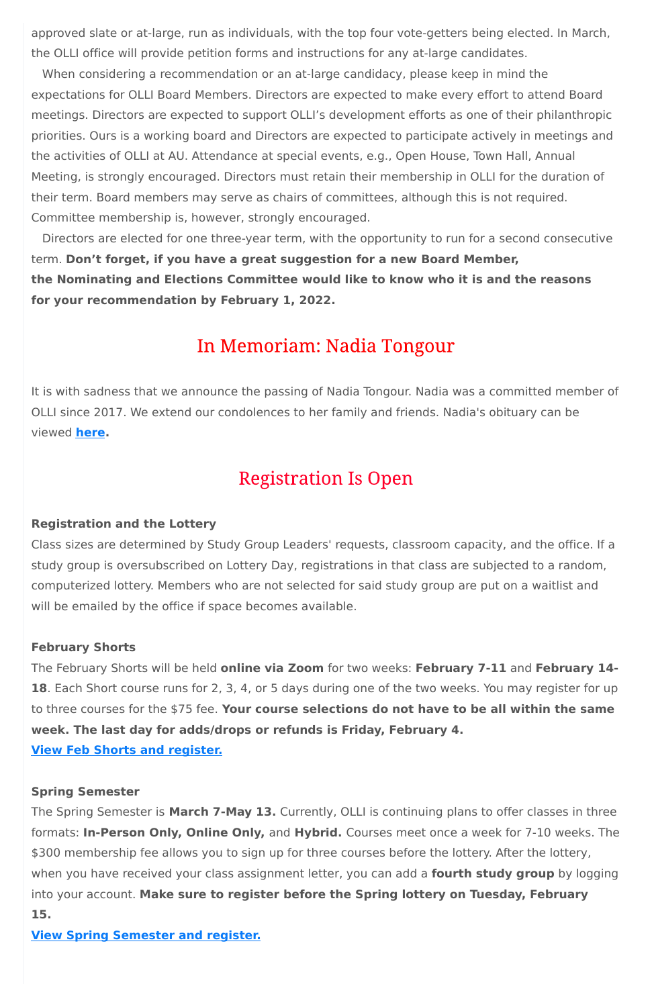approved slate or at-large, run as individuals, with the top four vote-getters being elected. In March, the OLLI office will provide petition forms and instructions for any at-large candidates.

When considering a recommendation or an at-large candidacy, please keep in mind the expectations for OLLI Board Members. Directors are expected to make every effort to attend Board meetings. Directors are expected to support OLLI's development efforts as one of their philanthropic priorities. Ours is a working board and Directors are expected to participate actively in meetings and the activities of OLLI at AU. Attendance at special events, e.g., Open House, Town Hall, Annual Meeting, is strongly encouraged. Directors must retain their membership in OLLI for the duration of their term. Board members may serve as chairs of committees, although this is not required. Committee membership is, however, strongly encouraged.

Directors are elected for one three-year term, with the opportunity to run for a second consecutive term. **Don't forget, if you have a great suggestion for a new Board Member, the Nominating and Elections Committee would like to know who it is and the reasons for your recommendation by February 1, 2022.**

### In Memoriam: Nadia Tongour

It is with sadness that we announce the passing of Nadia Tongour. Nadia was a committed member of OLLI since 2017. We extend our condolences to her family and friends. Nadia's obituary can be viewed **[here.](https://www.legacy.com/us/obituaries/washingtonpost/name/nadia-tongour-obituary?id=32256629)**

### **Registration Is Open**

#### **Registration and the Lottery**

Class sizes are determined by Study Group Leaders' requests, classroom capacity, and the office. If a study group is oversubscribed on Lottery Day, registrations in that class are subjected to a random, computerized lottery. Members who are not selected for said study group are put on a waitlist and will be emailed by the office if space becomes available.

#### **February Shorts**

The February Shorts will be held **online via Zoom** for two weeks: **February 7-11** and **February 14- 18**. Each Short course runs for 2, 3, 4, or 5 days during one of the two weeks. You may register for up to three courses for the \$75 fee. **Your course selections do not have to be all within the same week. The last day for adds/drops or refunds is Friday, February 4.**

### **Spring Semester**

The Spring Semester is **March 7-May 13.** Currently, OLLI is continuing plans to offer classes in three formats: **In-Person Only, Online Only,** and **Hybrid.** Courses meet once a week for 7-10 weeks. The \$300 membership fee allows you to sign up for three courses before the lottery. After the lottery, when you have received your class assignment letter, you can add a **fourth study group** by logging into your account. **Make sure to register before the Spring lottery on Tuesday, February 15.**

**View Spring [Semester](https://www.olli-dc.org/view_all_study_groups) and register.**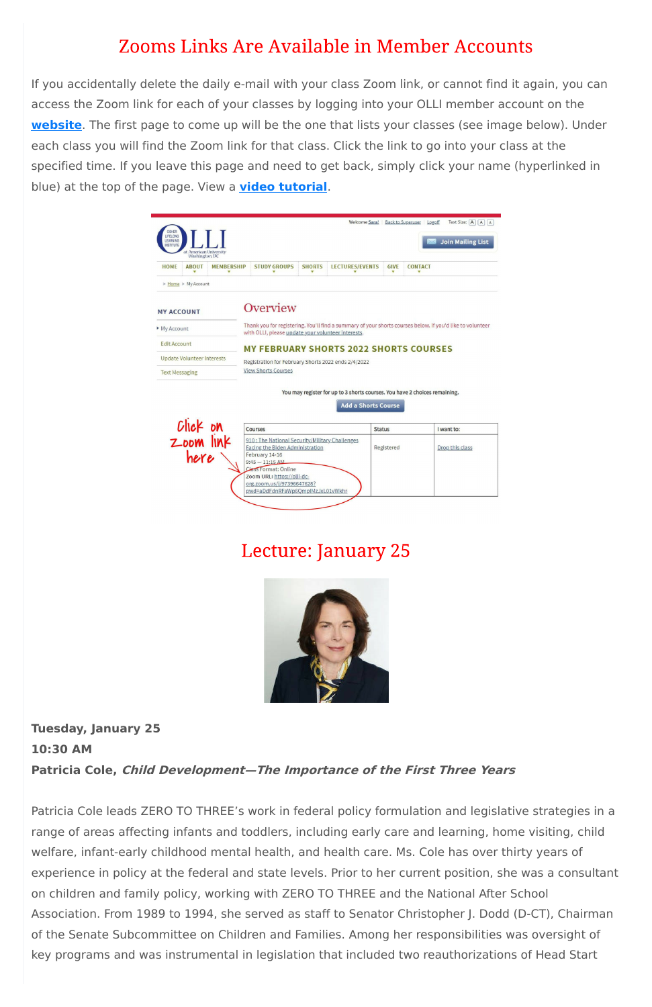## **Zooms Links Are Available in Member Accounts**

If you accidentally delete the daily e-mail with your class Zoom link, or cannot find it again, you can access the Zoom link for each of your classes by logging into your OLLI member account on the **[website](https://www.olli-dc.org/)**. The first page to come up will be the one that lists your classes (see image below). Under each class you will find the Zoom link for that class. Click the link to go into your class at the specified time. If you leave this page and need to get back, simply click your name (hyperlinked in blue) at the top of the page. View a **video [tutorial](https://vimeo.com/666099470)**.

| OSHER<br>LIFELONG<br>LEARNING<br><b>INSTITUTE</b>                               | at American University                              |  |                                                                                                                                                                                                                                                  |               | Welcome Sara!              |                  | Text Size: A A A<br>Back to Superuser Logoff<br><b>Join Mailing List</b>                                  |
|---------------------------------------------------------------------------------|-----------------------------------------------------|--|--------------------------------------------------------------------------------------------------------------------------------------------------------------------------------------------------------------------------------------------------|---------------|----------------------------|------------------|-----------------------------------------------------------------------------------------------------------|
| <b>HOME</b>                                                                     | Washington, DC<br><b>ABOUT</b><br><b>MEMBERSHIP</b> |  | <b>STUDY GROUPS</b>                                                                                                                                                                                                                              | <b>SHORTS</b> | <b>LECTURES/EVENTS</b>     | <b>GIVE</b><br>▼ | <b>CONTACT</b>                                                                                            |
| <b>MY ACCOUNT</b><br>My Account<br><b>Edit Account</b><br><b>Text Messaging</b> | <b>Update Volunteer Interests</b>                   |  | Overview<br>with OLLI, please update your volunteer interests.<br><b>MY FEBRUARY SHORTS 2022 SHORTS COURSES</b><br>Registration for February Shorts 2022 ends 2/4/2022<br><b>View Shorts Courses</b>                                             |               |                            |                  | Thank you for registering. You'll find a summary of your shorts courses below. If you'd like to volunteer |
|                                                                                 | Click on<br>Zoom link                               |  | Courses                                                                                                                                                                                                                                          |               | <b>Add a Shorts Course</b> | <b>Status</b>    | You may register for up to 3 shorts courses. You have 2 choices remaining.<br>I want to:                  |
|                                                                                 | here                                                |  | 910: The National Security/Military Challenges<br>Facing the Biden Administration<br>February 14-16<br>$9:45 - 11:15$ AM<br>Class Format: Online<br>Zoom URL: https://olli-dc-<br>org.zoom.us/j/97396647628?<br>pwd=aDdFdnRFaWp6OmpIMzJxL01vWkhr |               |                            | Registered       | Drop this class                                                                                           |

### **Lecture: January 25**



#### **10:30 AM**

#### **Patricia Cole, Child Development—The Importance of the First Three Years**

Patricia Cole leads ZERO TO THREE's work in federal policy formulation and legislative strategies in a range of areas affecting infants and toddlers, including early care and learning, home visiting, child welfare, infant-early childhood mental health, and health care. Ms. Cole has over thirty years of experience in policy at the federal and state levels. Prior to her current position, she was a consultant on children and family policy, working with ZERO TO THREE and the National After School Association. From 1989 to 1994, she served as staff to Senator Christopher J. Dodd (D-CT), Chairman of the Senate Subcommittee on Children and Families. Among her responsibilities was oversight of key programs and was instrumental in legislation that included two reauthorizations of Head Start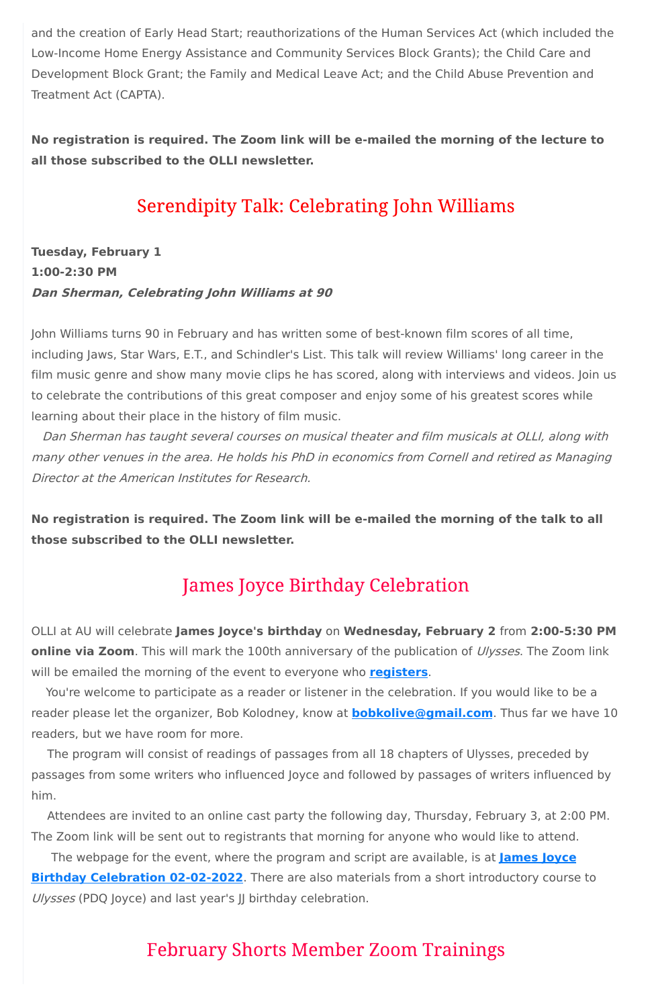and the creation of Early Head Start; reauthorizations of the Human Services Act (which included the Low-Income Home Energy Assistance and Community Services Block Grants); the Child Care and Development Block Grant; the Family and Medical Leave Act; and the Child Abuse Prevention and Treatment Act (CAPTA).

**No registration is required. The Zoom link will be e-mailed the morning of the lecture to all those subscribed to the OLLI newsletter.**

### **Serendipity Talk: Celebrating John Williams**

**Tuesday, February 1 1:00-2:30 PM Dan Sherman, Celebrating John Williams at 90**

John Williams turns 90 in February and has written some of best-known film scores of all time, including Jaws, Star Wars, E.T., and Schindler's List. This talk will review Williams' long career in the film music genre and show many movie clips he has scored, along with interviews and videos. Join us to celebrate the contributions of this great composer and enjoy some of his greatest scores while learning about their place in the history of film music.

Attendees are invited to an online cast party the following day, Thursday, February 3, at 2:00 PM. The Zoom link will be sent out to registrants that morning for anyone who would like to attend. The webpage for the event, where the program and script are available, is at **James Joyce Birthday [Celebration](https://sites.google.com/view/jajoycebirthday2021/james-joyce-birthday-2022?authuser=0) 02-02-2022**. There are also materials from a short introductory course to Ulysses (PDQ Joyce) and last year's JJ birthday celebration.

### **February Shorts Member Zoom Trainings**

Dan Sherman has taught several courses on musical theater and film musicals at OLLI, along with many other venues in the area. He holds his PhD in economics from Cornell and retired as Managing Director at the American Institutes for Research.

**No registration is required. The Zoom link will be e-mailed the morning of the talk to all those subscribed to the OLLI newsletter.**

# **James Joyce Birthday Celebration**

OLLI at AU will celebrate **James Joyce's birthday** on **Wednesday, February 2** from **2:00-5:30 PM online via Zoom**. This will mark the 100th anniversary of the publication of Ulysses. The Zoom link will be emailed the morning of the event to everyone who **[registers](https://www.olli-dc.org/EventRegistration/Register/894)**.

You're welcome to participate as a reader or listener in the celebration. If you would like to be a reader please let the organizer, Bob Kolodney, know at **[bobkolive@gmail.com](mailto:bobkolive@gmail.com)**. Thus far we have 10 readers, but we have room for more.

The program will consist of readings of passages from all 18 chapters of Ulysses, preceded by passages from some writers who influenced Joyce and followed by passages of writers influenced by him.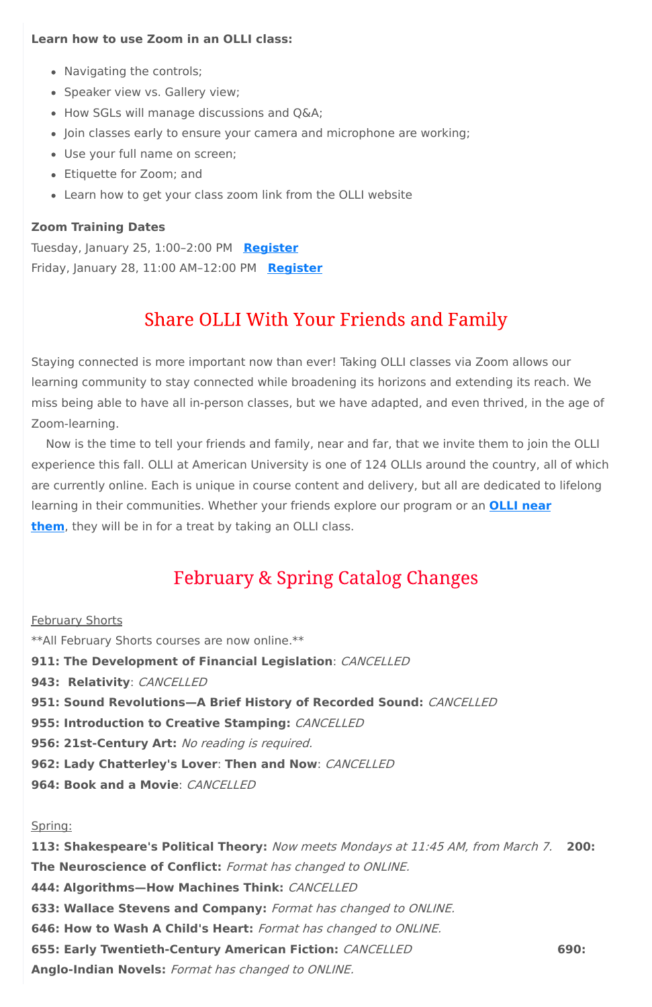### **Learn how to use Zoom in an OLLI class:**

- Navigating the controls;
- Speaker view vs. Gallery view;
- How SGLs will manage discussions and Q&A;
- Join classes early to ensure your camera and microphone are working;
- Use your full name on screen;
- Etiquette for Zoom; and
- Learn how to get your class zoom link from the OLLI website

### **Zoom Training Dates**

Tuesday, January 25, 1:00–2:00 PM **[Register](https://www.olli-dc.org/events/MembertrainingJan25)** Friday, January 28, 11:00 AM–12:00 PM **[Register](https://www.olli-dc.org/events/MembertrainingJan28)**

# **Share OLLI With Your Friends and Family**

Staying connected is more important now than ever! Taking OLLI classes via Zoom allows our learning community to stay connected while broadening its horizons and extending its reach. We miss being able to have all in-person classes, but we have adapted, and even thrived, in the age of Zoom-learning.

**February Shorts** \*\*All February Shorts courses are now online.\*\* **911: The Development of Financial Legislation**: CANCELLED **943: Relativity**: CANCELLED **951: Sound Revolutions—A Brief History of Recorded Sound:** CANCELLED **955: Introduction to Creative Stamping:** CANCELLED

Now is the time to tell your friends and family, near and far, that we invite them to join the OLLI experience this fall. OLLI at American University is one of 124 OLLIs around the country, all of which are currently online. Each is unique in course content and delivery, but all are dedicated to lifelong learning in their [communities.](https://sps.northwestern.edu/oshernrc/files_nrc/lli_directory_2019.pdf) Whether your friends explore our program or an **OLLI near them**, they will be in for a treat by taking an OLLI class.

# **February & Spring Catalog Changes**

**956: 21st-Century Art:** No reading is required.

**962: Lady Chatterley's Lover**: **Then and Now**: CANCELLED

**964: Book and a Movie**: CANCELLED

Spring:

**113: Shakespeare's Political Theory:** Now meets Mondays at 11:45 AM, from March 7. **200: The Neuroscience of Conflict:** Format has changed to ONLINE. **444: Algorithms—How Machines Think:** CANCELLED **633: Wallace Stevens and Company:** Format has changed to ONLINE. **646: How to Wash A Child's Heart:** Format has changed to ONLINE. **655: Early Twentieth-Century American Fiction:** CANCELLED **690: Anglo-Indian Novels:** Format has changed to ONLINE.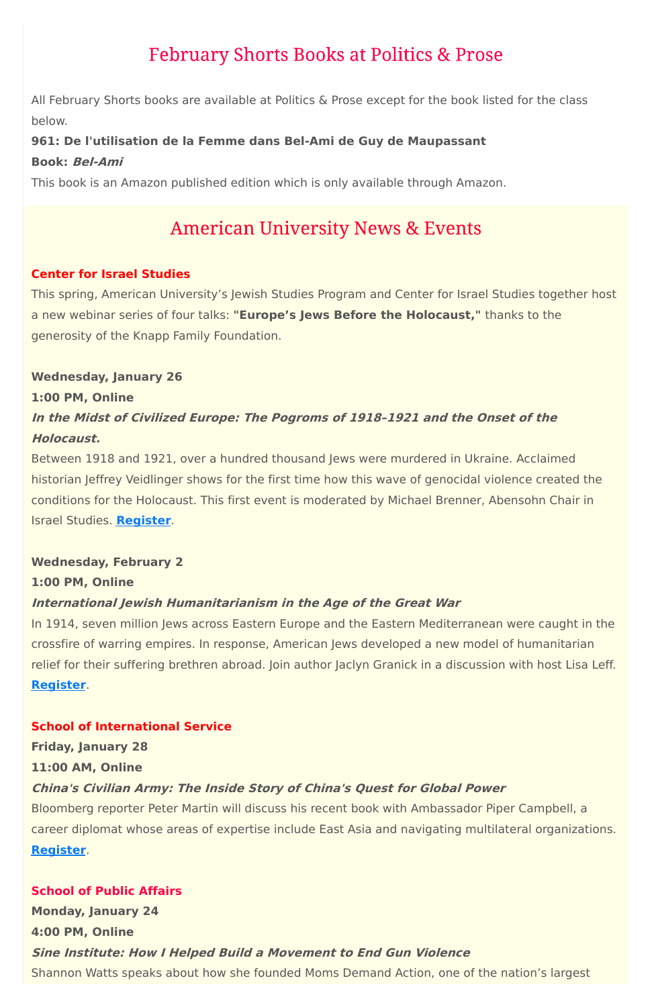### **February Shorts Books at Politics & Prose**

All February Shorts books are available at Politics & Prose except for the book listed for the class below.

### **961: De l'utilisation de la Femme dans Bel-Ami de Guy de Maupassant**

### **Book: Bel-Ami**

This book is an Amazon published edition which is only available through Amazon.

### **American University News & Events**

### **Center for Israel Studies**

This spring, American University's Jewish Studies Program and Center for Israel Studies together host a new webinar series of four talks: **"Europe's Jews Before the Holocaust,"** thanks to the generosity of the Knapp Family Foundation.

### **Wednesday, January 26**

### **1:00 PM, Online**

### **In the Midst of Civilized Europe: The Pogroms of 1918–1921 and the Onset of the Holocaust.**

Between 1918 and 1921, over a hundred thousand Jews were murdered in Ukraine. Acclaimed historian Jeffrey Veidlinger shows for the first time how this wave of genocidal violence created the conditions for the Holocaust. This first event is moderated by Michael Brenner, Abensohn Chair in Israel Studies. **[Register](https://www.eventbrite.com/e/europes-jews-before-the-holocaust-series-jeffrey-veidlinger-january-26-tickets-227252176377)**.

### **Wednesday, February 2**

#### **1:00 PM, Online**

### **International Jewish Humanitarianism in the Age of the Great War**

In 1914, seven million Jews across Eastern Europe and the Eastern Mediterranean were caught in the crossfire of warring empires. In response, American Jews developed a new model of humanitarian relief for their suffering brethren abroad. Join author Jaclyn Granick in a discussion with host Lisa Leff. **[Register](https://www.eventbrite.com/e/europes-jews-before-the-holocaust-jaclyn-granick-february-2-tickets-243129144817)**.

#### **School of International Service**

**Friday, January 28**

**11:00 AM, Online**

### **China's Civilian Army: The Inside Story of China's Quest for Global Power**

Bloomberg reporter Peter Martin will discuss his recent book with Ambassador Piper Campbell, a career diplomat whose areas of expertise include East Asia and navigating multilateral organizations.

### **[Register](https://www.eventbrite.com/e/sis-or-pvs-crs-program-event-peter-martin-wamb-piper-campbell-tickets-243189555507?aff=erelpanelorg)**.

### **School of Public Affairs**

**Monday, January 24**

**4:00 PM, Online**

#### **Sine Institute: How I Helped Build <sup>a</sup> Movement to End Gun Violence**

Shannon Watts speaks about how she founded Moms Demand Action, one of the nation's largest